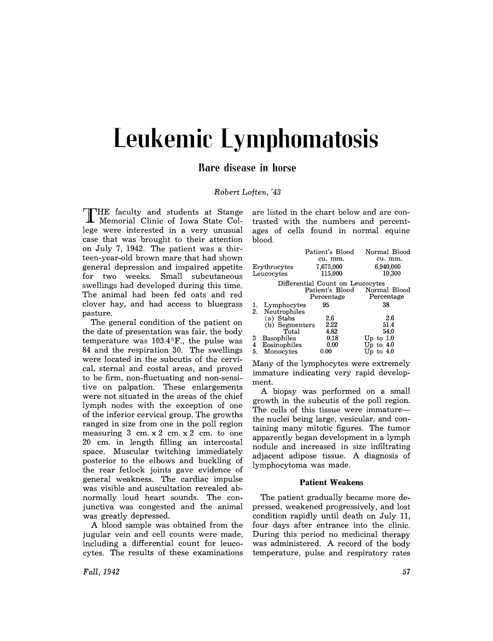# Leukemic Lymphomatosis

## **Rare disease in horse**

### *Robert Loften,* '43

THE faculty and students at Stange Memorial Clinic of Iowa State College were interested in a very unusual case that was brought to their attention on July 7, 1942. The patient was a thirteen-year-old brown mare that had shown general depression and impaired appetite for two weeks. Small subcutaneous swellings had developed during this time. The animal had been fed oats and red clover hay, and had access to bluegrass pasture.

The general condition of the patient on the date of presentation was fair, the body temperature was  $103.4\textdegree F$ ., the pulse was 84 and the respiration 30. The swellings were located in the subcutis of the cervical, sternal and costal areas, and proved to be firm, non-fluctuating and non-sensitive on palpation. These enlargements were not situated in the areas of the chief lymph nodes with the exception of one of the inferior cervical group. The growths ranged in size from one in the poll region measuring  $3 \text{ cm. x } 2 \text{ cm. x } 2 \text{ cm. to one}$ 20 cm. in length filling an intercostal space. Muscular twitching immediately posterior to the elbows and buckling of the rear fetlock joints gave evidence of general weakness. The cardiac impulse was visible and auscultation revealed abnormally loud heart sounds. The conjunctiva was congested and the animal was greatly depressed.

A blood sample was obtained from the jugular vein and cell counts were made, including a differential count for leucocytes. The results of these examinations

*Fall,1942* 

are listed in the chart below and are contrasted with the numbers and percentages of cells found in normal equine blood.

|                                  |                | Patient's Blood | Normal Blood                 |  |  |  |  |
|----------------------------------|----------------|-----------------|------------------------------|--|--|--|--|
|                                  |                | cu. mm.         | cu. mm.                      |  |  |  |  |
| Erythrocytes                     |                | 7,675,000       | 6,940,000                    |  |  |  |  |
| Leucocytes                       |                | 115,000         | 10,300                       |  |  |  |  |
| Differential Count on Leucocytes |                |                 |                              |  |  |  |  |
|                                  |                |                 | Patient's Blood Normal Blood |  |  |  |  |
|                                  |                | Percentage      | Percentage                   |  |  |  |  |
|                                  | Lymphocytes    | 95              | 38                           |  |  |  |  |
| 2.                               | Neutrophiles   |                 |                              |  |  |  |  |
|                                  | $(a)$ Stabs    | 2.6             | 2.6                          |  |  |  |  |
|                                  | (b) Segmenters | 2.22            | 51.4                         |  |  |  |  |
|                                  | Total          | 4.82            | 54.0                         |  |  |  |  |
| 3                                | Basophiles     | 0.18            | Up to $1.0$                  |  |  |  |  |
| 4                                | Eosinophiles   | 0.00            | Up to $4.0$                  |  |  |  |  |
| 5.                               | Monocytes      | 0.00            | $\,$ Up to $4.0$             |  |  |  |  |

Many of the lymphocytes were extremely immature indicating very rapid development.

A biopsy was performed on a small growth in the subcutis of the poll region. The cells of this tissue were immaturethe nuclei being large, vesicular, and containing many mitotic figures. The tumor apparently began development in a lymph nodule and increased in size infiltrating adjacent adipose tissue. A diagnosis of lymphocytoma was made.

#### **Patient Weakens**

The patient gradually became more depressed, weakened progressively, and lost condition rapidly until death on July 11, four days after entrance into the clinic. During this period no medicinal therapy was administered. A record of the body temperature, pulse and respiratory rates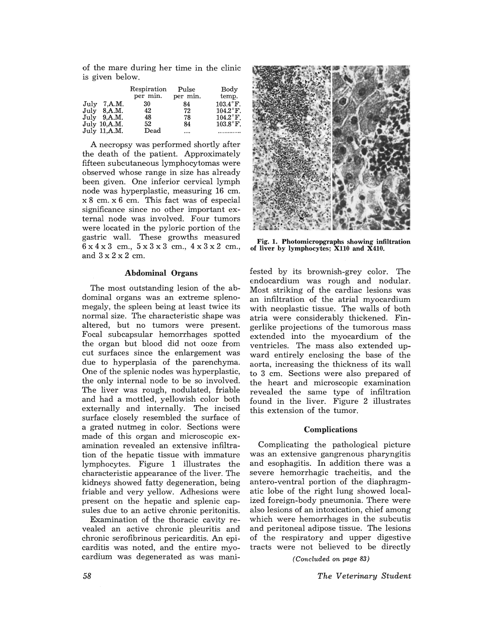of the mare during her time in the clinic is given below.

|                | Respiration<br>per min. | Pulse<br>per min. | Body<br>temp.      |
|----------------|-------------------------|-------------------|--------------------|
| July 7.A.M.    | 30                      | 84                | $103.4^{\circ}$ F. |
| July 8.A.M.    | 42                      | 72                | $104.2$ °F.        |
| July 9.A.M.    | 48                      | 78                | $104.2^{\circ}$ F. |
| July $10,A.M.$ | 52                      | 84                | $103.8$ °F.        |
| July 11, A.M.  | Dead                    |                   |                    |

A necropsy was performed shortly after the death of the patient. Approximately fifteen subcutaneous lymphocytomas were observed whose range in size has already been given. One inferior cervical lymph node was hyperplastic, measuring 16 cm. x 8 cm. x 6 cm. This fact was of especial significance since no other important external node was involved. Four tumors were located in the pyloric portion of the gastric wall. These growths measured 6 x 4 x 3 cm., 5 x 3 x 3 cm., 4 x 3 x 2 cm., and  $3 \times 2 \times 2$  cm.

#### Abdominal Organs

The most outstanding lesion of the abdominal organs was an extreme splenomegaly, the spleen being at least twice its normal size. The characteristic shape was altered, but no tumors were present. Focal subcapsular hemorrhages spotted the organ but blood did not ooze from cut surfaces since the enlargement was due to hyperplasia of the parenchyma. One of the splenic nodes was hyperplastic, the only internal node to be so involved. The liver was rough, nodulated, friable and had a mottled, yellowish color both externally and internally. The incised surface closely resembled the surface of a grated nutmeg in color. Sections were made of this organ and microscopic examination revealed an extensive infiltration of the hepatic tissue with immature lymphocytes. Figure 1 illustrates the characteristic appearance of the liver. The kidneys showed fatty degeneration, being friable and very yellow. Adhesions were present on the hepatic and splenic capsules due to an active chronic peritonitis.

Examination of the thoracic cavity revealed an active chronic pleuritis and chronic serofibrinous pericarditis. An epicarditis was noted, and the entire myocardium was degenerated as was mani-



Fig. 1. Photomicropgraphs showing infiltration of liver by lymphocytes; X110 and X410.

fested by its brownish-grey color. The endocardium was rough and nodular. Most striking of the cardiac lesions was an infiltration of the atrial myocardium with neoplastic tissue. The walls of both atria were considerably thickened. Fingerlike projections of the tumorous mass extended into the myocardium of the ventricles. The mass also extended upward entirely enclosing the base of the aorta, increasing the thickness of its wall to 3 cm. Sections were also prepared of the heart and microscopic examination revealed the same type of infiltration found in the liver. Figure 2 illustrates this extension of the tumor.

#### **Complications**

Complicating the pathological picture was an extensive gangrenous pharyngitis and esophagitis. In addition there was a severe hemorrhagic tracheitis, and the antero-ventral portion of the diaphragmatic lobe of the right lung showed localized foreign-body pneumonia. There were also lesions of an intoxication, chief among which were hemorrhages in the subcutis and peritoneal adipose tissue. The lesions of the respiratory and upper digestive tracts were not believed to be directly

*(Concluded* 0% *page 83)*